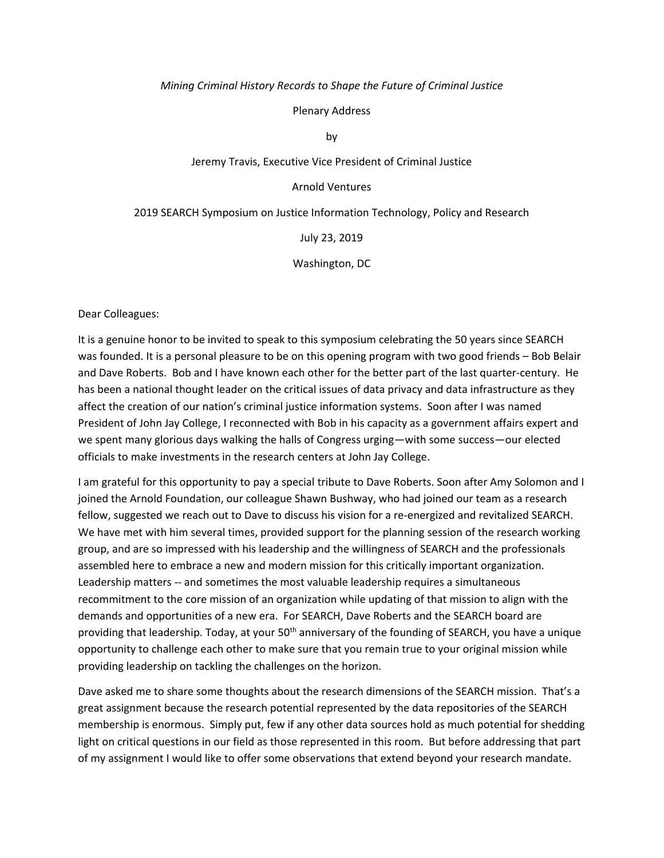#### *Mining Criminal History Records to Shape the Future of Criminal Justice*

Plenary Address

by

## Jeremy Travis, Executive Vice President of Criminal Justice

## Arnold Ventures

#### 2019 SEARCH Symposium on Justice Information Technology, Policy and Research

July 23, 2019

#### Washington, DC

Dear Colleagues:

It is a genuine honor to be invited to speak to this symposium celebrating the 50 years since SEARCH was founded. It is a personal pleasure to be on this opening program with two good friends – Bob Belair and Dave Roberts. Bob and I have known each other for the better part of the last quarter-century. He has been a national thought leader on the critical issues of data privacy and data infrastructure as they affect the creation of our nation's criminal justice information systems. Soon after I was named President of John Jay College, I reconnected with Bob in his capacity as a government affairs expert and we spent many glorious days walking the halls of Congress urging—with some success—our elected officials to make investments in the research centers at John Jay College.

I am grateful for this opportunity to pay a special tribute to Dave Roberts. Soon after Amy Solomon and I joined the Arnold Foundation, our colleague Shawn Bushway, who had joined our team as a research fellow, suggested we reach out to Dave to discuss his vision for a re-energized and revitalized SEARCH. We have met with him several times, provided support for the planning session of the research working group, and are so impressed with his leadership and the willingness of SEARCH and the professionals assembled here to embrace a new and modern mission for this critically important organization. Leadership matters -- and sometimes the most valuable leadership requires a simultaneous recommitment to the core mission of an organization while updating of that mission to align with the demands and opportunities of a new era. For SEARCH, Dave Roberts and the SEARCH board are providing that leadership. Today, at your 50<sup>th</sup> anniversary of the founding of SEARCH, you have a unique opportunity to challenge each other to make sure that you remain true to your original mission while providing leadership on tackling the challenges on the horizon.

Dave asked me to share some thoughts about the research dimensions of the SEARCH mission. That's a great assignment because the research potential represented by the data repositories of the SEARCH membership is enormous. Simply put, few if any other data sources hold as much potential for shedding light on critical questions in our field as those represented in this room. But before addressing that part of my assignment I would like to offer some observations that extend beyond your research mandate.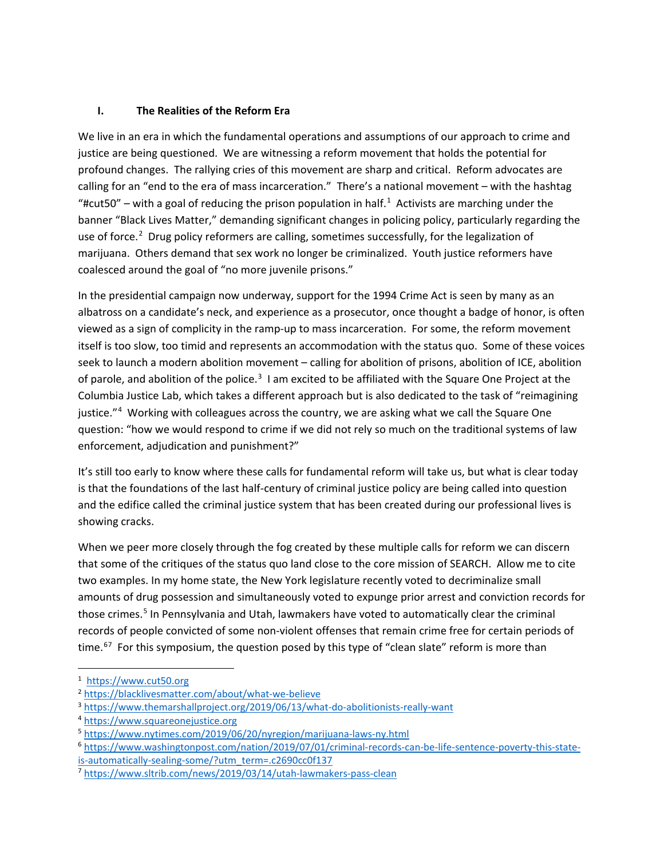# **I. The Realities of the Reform Era**

We live in an era in which the fundamental operations and assumptions of our approach to crime and justice are being questioned. We are witnessing a reform movement that holds the potential for profound changes. The rallying cries of this movement are sharp and critical. Reform advocates are calling for an "end to the era of mass incarceration." There's a national movement – with the hashtag "#cut50" – with a goal of reducing the prison population in half.<sup>[1](#page-1-0)</sup> Activists are marching under the banner "Black Lives Matter," demanding significant changes in policing policy, particularly regarding the use of force.<sup>[2](#page-1-1)</sup> Drug policy reformers are calling, sometimes successfully, for the legalization of marijuana. Others demand that sex work no longer be criminalized. Youth justice reformers have coalesced around the goal of "no more juvenile prisons."

In the presidential campaign now underway, support for the 1994 Crime Act is seen by many as an albatross on a candidate's neck, and experience as a prosecutor, once thought a badge of honor, is often viewed as a sign of complicity in the ramp-up to mass incarceration. For some, the reform movement itself is too slow, too timid and represents an accommodation with the status quo. Some of these voices seek to launch a modern abolition movement – calling for abolition of prisons, abolition of ICE, abolition of parole, and abolition of the police.<sup>[3](#page-1-2)</sup> I am excited to be affiliated with the Square One Project at the Columbia Justice Lab, which takes a different approach but is also dedicated to the task of "reimagining justice."[4](#page-1-3) Working with colleagues across the country, we are asking what we call the Square One question: "how we would respond to crime if we did not rely so much on the traditional systems of law enforcement, adjudication and punishment?"

It's still too early to know where these calls for fundamental reform will take us, but what is clear today is that the foundations of the last half-century of criminal justice policy are being called into question and the edifice called the criminal justice system that has been created during our professional lives is showing cracks.

When we peer more closely through the fog created by these multiple calls for reform we can discern that some of the critiques of the status quo land close to the core mission of SEARCH. Allow me to cite two examples. In my home state, the New York legislature recently voted to decriminalize small amounts of drug possession and simultaneously voted to expunge prior arrest and conviction records for those crimes.<sup>[5](#page-1-4)</sup> In Pennsylvania and Utah, lawmakers have voted to automatically clear the criminal records of people convicted of some non-violent offenses that remain crime free for certain periods of time.<sup>[6](#page-1-5)[7](#page-1-6)</sup> For this symposium, the question posed by this type of "clean slate" reform is more than

<span id="page-1-0"></span> <sup>1</sup> [https://www.cut50.org](https://www.cut50.org/)

<span id="page-1-1"></span><sup>2</sup> [https://blacklivesmatter.com/about/what-we-believe](https://blacklivesmatter.com/about/what-we-believe/)

<span id="page-1-3"></span><span id="page-1-2"></span><sup>3</sup> <https://www.themarshallproject.org/2019/06/13/what-do-abolitionists-really-want>

<sup>4</sup> [https://www.squareonejustice.org](https://www.squareonejustice.org/)

<span id="page-1-4"></span><sup>5</sup> <https://www.nytimes.com/2019/06/20/nyregion/marijuana-laws-ny.html>

<span id="page-1-5"></span><sup>6</sup> [https://www.washingtonpost.com/nation/2019/07/01/criminal-records-can-be-life-sentence-poverty-this-state](https://www.washingtonpost.com/nation/2019/07/01/criminal-records-can-be-life-sentence-poverty-this-state-is-automatically-sealing-some/?utm_term=.c2690cc0f137)[is-automatically-sealing-some/?utm\\_term=.c2690cc0f137](https://www.washingtonpost.com/nation/2019/07/01/criminal-records-can-be-life-sentence-poverty-this-state-is-automatically-sealing-some/?utm_term=.c2690cc0f137)

<span id="page-1-6"></span><sup>7</sup> [https://www.sltrib.com/news/2019/03/14/utah-lawmakers-pass-clean](https://www.sltrib.com/news/2019/03/14/utah-lawmakers-pass-clean/)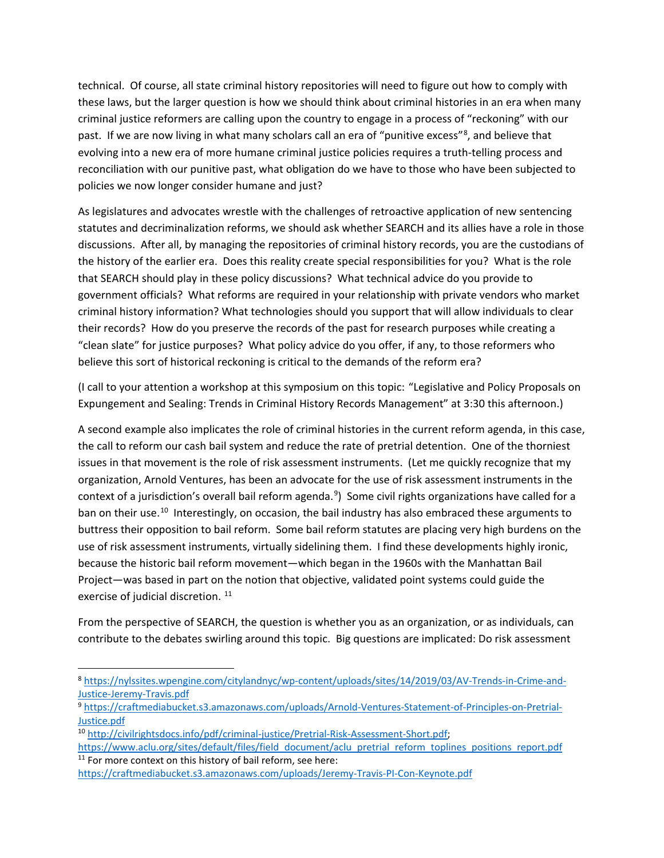technical. Of course, all state criminal history repositories will need to figure out how to comply with these laws, but the larger question is how we should think about criminal histories in an era when many criminal justice reformers are calling upon the country to engage in a process of "reckoning" with our past. If we are now living in what many scholars call an era of "punitive excess"<sup>[8](#page-2-0)</sup>, and believe that evolving into a new era of more humane criminal justice policies requires a truth-telling process and reconciliation with our punitive past, what obligation do we have to those who have been subjected to policies we now longer consider humane and just?

As legislatures and advocates wrestle with the challenges of retroactive application of new sentencing statutes and decriminalization reforms, we should ask whether SEARCH and its allies have a role in those discussions. After all, by managing the repositories of criminal history records, you are the custodians of the history of the earlier era. Does this reality create special responsibilities for you? What is the role that SEARCH should play in these policy discussions? What technical advice do you provide to government officials? What reforms are required in your relationship with private vendors who market criminal history information? What technologies should you support that will allow individuals to clear their records? How do you preserve the records of the past for research purposes while creating a "clean slate" for justice purposes? What policy advice do you offer, if any, to those reformers who believe this sort of historical reckoning is critical to the demands of the reform era?

(I call to your attention a workshop at this symposium on this topic: "Legislative and Policy Proposals on Expungement and Sealing: Trends in Criminal History Records Management" at 3:30 this afternoon.)

A second example also implicates the role of criminal histories in the current reform agenda, in this case, the call to reform our cash bail system and reduce the rate of pretrial detention. One of the thorniest issues in that movement is the role of risk assessment instruments. (Let me quickly recognize that my organization, Arnold Ventures, has been an advocate for the use of risk assessment instruments in the context of a jurisdiction's overall bail reform agenda.<sup>[9](#page-2-1)</sup>) Some civil rights organizations have called for a ban on their use.<sup>[10](#page-2-2)</sup> Interestingly, on occasion, the bail industry has also embraced these arguments to buttress their opposition to bail reform. Some bail reform statutes are placing very high burdens on the use of risk assessment instruments, virtually sidelining them. I find these developments highly ironic, because the historic bail reform movement—which began in the 1960s with the Manhattan Bail Project—was based in part on the notion that objective, validated point systems could guide the exercise of judicial discretion.<sup>[11](#page-2-3)</sup>

From the perspective of SEARCH, the question is whether you as an organization, or as individuals, can contribute to the debates swirling around this topic. Big questions are implicated: Do risk assessment

<span id="page-2-0"></span> <sup>8</sup> [https://nylssites.wpengine.com/citylandnyc/wp-content/uploads/sites/14/2019/03/AV-Trends-in-Crime-and-](https://nylssites.wpengine.com/citylandnyc/wp-content/uploads/sites/14/2019/03/AV-Trends-in-Crime-and-Justice-Jeremy-Travis.pdf)[Justice-Jeremy-Travis.pdf](https://nylssites.wpengine.com/citylandnyc/wp-content/uploads/sites/14/2019/03/AV-Trends-in-Crime-and-Justice-Jeremy-Travis.pdf)

<span id="page-2-1"></span><sup>9</sup> [https://craftmediabucket.s3.amazonaws.com/uploads/Arnold-Ventures-Statement-of-Principles-on-Pretrial-](https://craftmediabucket.s3.amazonaws.com/uploads/Arnold-Ventures-Statement-of-Principles-on-Pretrial-Justice.pdf)[Justice.pdf](https://craftmediabucket.s3.amazonaws.com/uploads/Arnold-Ventures-Statement-of-Principles-on-Pretrial-Justice.pdf)

<span id="page-2-2"></span><sup>10</sup> [http://civilrightsdocs.info/pdf/criminal-justice/Pretrial-Risk-Assessment-Short.pdf;](http://civilrightsdocs.info/pdf/criminal-justice/Pretrial-Risk-Assessment-Short.pdf) [https://www.aclu.org/sites/default/files/field\\_document/aclu\\_pretrial\\_reform\\_toplines\\_positions\\_report.pdf](https://www.aclu.org/sites/default/files/field_document/aclu_pretrial_reform_toplines_positions_report.pdf)

<span id="page-2-3"></span><sup>&</sup>lt;sup>11</sup> For more context on this history of bail reform, see here: <https://craftmediabucket.s3.amazonaws.com/uploads/Jeremy-Travis-PI-Con-Keynote.pdf>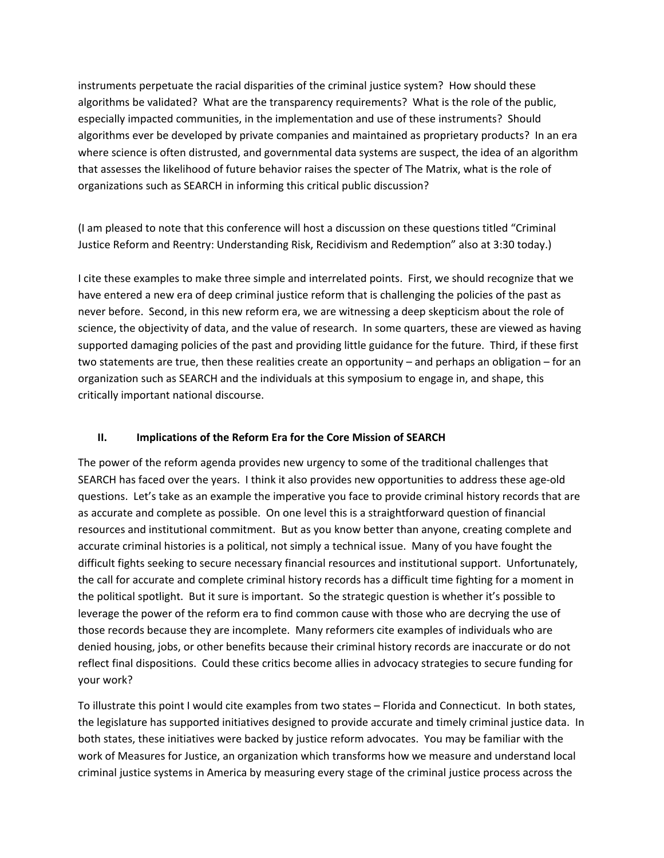instruments perpetuate the racial disparities of the criminal justice system? How should these algorithms be validated? What are the transparency requirements? What is the role of the public, especially impacted communities, in the implementation and use of these instruments? Should algorithms ever be developed by private companies and maintained as proprietary products? In an era where science is often distrusted, and governmental data systems are suspect, the idea of an algorithm that assesses the likelihood of future behavior raises the specter of The Matrix, what is the role of organizations such as SEARCH in informing this critical public discussion?

(I am pleased to note that this conference will host a discussion on these questions titled "Criminal Justice Reform and Reentry: Understanding Risk, Recidivism and Redemption" also at 3:30 today.)

I cite these examples to make three simple and interrelated points. First, we should recognize that we have entered a new era of deep criminal justice reform that is challenging the policies of the past as never before. Second, in this new reform era, we are witnessing a deep skepticism about the role of science, the objectivity of data, and the value of research. In some quarters, these are viewed as having supported damaging policies of the past and providing little guidance for the future. Third, if these first two statements are true, then these realities create an opportunity – and perhaps an obligation – for an organization such as SEARCH and the individuals at this symposium to engage in, and shape, this critically important national discourse.

## **II. Implications of the Reform Era for the Core Mission of SEARCH**

The power of the reform agenda provides new urgency to some of the traditional challenges that SEARCH has faced over the years. I think it also provides new opportunities to address these age-old questions. Let's take as an example the imperative you face to provide criminal history records that are as accurate and complete as possible. On one level this is a straightforward question of financial resources and institutional commitment. But as you know better than anyone, creating complete and accurate criminal histories is a political, not simply a technical issue. Many of you have fought the difficult fights seeking to secure necessary financial resources and institutional support. Unfortunately, the call for accurate and complete criminal history records has a difficult time fighting for a moment in the political spotlight. But it sure is important. So the strategic question is whether it's possible to leverage the power of the reform era to find common cause with those who are decrying the use of those records because they are incomplete. Many reformers cite examples of individuals who are denied housing, jobs, or other benefits because their criminal history records are inaccurate or do not reflect final dispositions. Could these critics become allies in advocacy strategies to secure funding for your work?

To illustrate this point I would cite examples from two states – Florida and Connecticut. In both states, the legislature has supported initiatives designed to provide accurate and timely criminal justice data. In both states, these initiatives were backed by justice reform advocates. You may be familiar with the work of Measures for Justice, an organization which transforms how we measure and understand local criminal justice systems in America by measuring every stage of the criminal justice process across the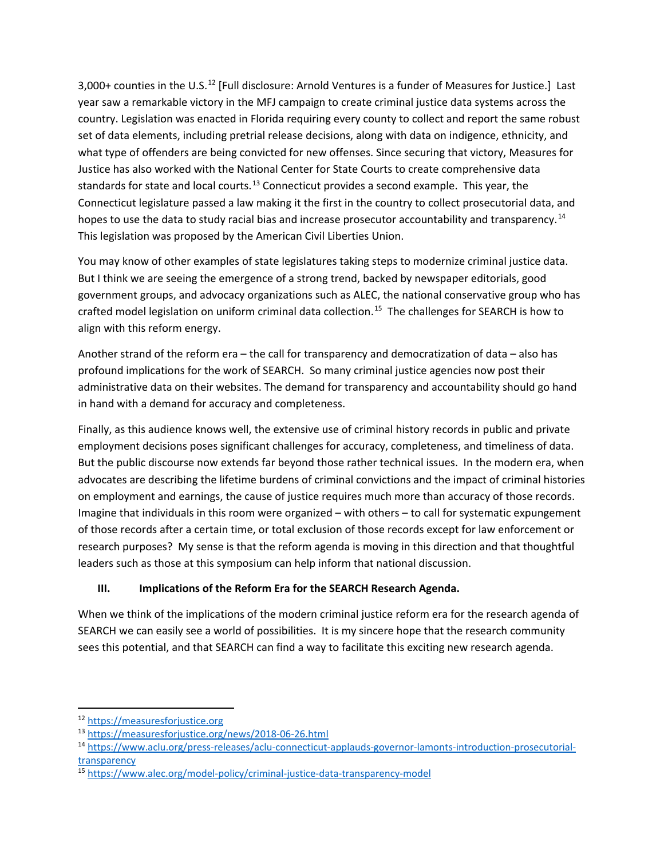3,000+ counties in the U.S.<sup>[12](#page-4-0)</sup> [Full disclosure: Arnold Ventures is a funder of Measures for Justice.] Last year saw a remarkable victory in the MFJ campaign to create criminal justice data systems across the country. Legislation was enacted in Florida requiring every county to collect and report the same robust set of data elements, including pretrial release decisions, along with data on indigence, ethnicity, and what type of offenders are being convicted for new offenses. Since securing that victory, Measures for Justice has also worked with the National Center for State Courts to create comprehensive data standards for state and local courts.<sup>[13](#page-4-1)</sup> Connecticut provides a second example. This year, the Connecticut legislature passed a law making it the first in the country to collect prosecutorial data, and hopes to use the data to study racial bias and increase prosecutor accountability and transparency.<sup>[14](#page-4-2)</sup> This legislation was proposed by the American Civil Liberties Union.

You may know of other examples of state legislatures taking steps to modernize criminal justice data. But I think we are seeing the emergence of a strong trend, backed by newspaper editorials, good government groups, and advocacy organizations such as ALEC, the national conservative group who has crafted model legislation on uniform criminal data collection. [15](#page-4-3) The challenges for SEARCH is how to align with this reform energy.

Another strand of the reform era – the call for transparency and democratization of data – also has profound implications for the work of SEARCH. So many criminal justice agencies now post their administrative data on their websites. The demand for transparency and accountability should go hand in hand with a demand for accuracy and completeness.

Finally, as this audience knows well, the extensive use of criminal history records in public and private employment decisions poses significant challenges for accuracy, completeness, and timeliness of data. But the public discourse now extends far beyond those rather technical issues. In the modern era, when advocates are describing the lifetime burdens of criminal convictions and the impact of criminal histories on employment and earnings, the cause of justice requires much more than accuracy of those records. Imagine that individuals in this room were organized – with others – to call for systematic expungement of those records after a certain time, or total exclusion of those records except for law enforcement or research purposes? My sense is that the reform agenda is moving in this direction and that thoughtful leaders such as those at this symposium can help inform that national discussion.

# **III. Implications of the Reform Era for the SEARCH Research Agenda.**

When we think of the implications of the modern criminal justice reform era for the research agenda of SEARCH we can easily see a world of possibilities. It is my sincere hope that the research community sees this potential, and that SEARCH can find a way to facilitate this exciting new research agenda.

<span id="page-4-0"></span> <sup>12</sup> [https://measuresforjustice.org](https://measuresforjustice.org/)

<span id="page-4-1"></span><sup>13</sup> <https://measuresforjustice.org/news/2018-06-26.html>

<span id="page-4-2"></span><sup>14</sup> [https://www.aclu.org/press-releases/aclu-connecticut-applauds-governor-lamonts-introduction-prosecutorial](https://www.aclu.org/press-releases/aclu-connecticut-applauds-governor-lamonts-introduction-prosecutorial-transparency)[transparency](https://www.aclu.org/press-releases/aclu-connecticut-applauds-governor-lamonts-introduction-prosecutorial-transparency)

<span id="page-4-3"></span><sup>15</sup> [https://www.alec.org/model-policy/criminal-justice-data-transparency-model](https://www.alec.org/model-policy/criminal-justice-data-transparency-model/)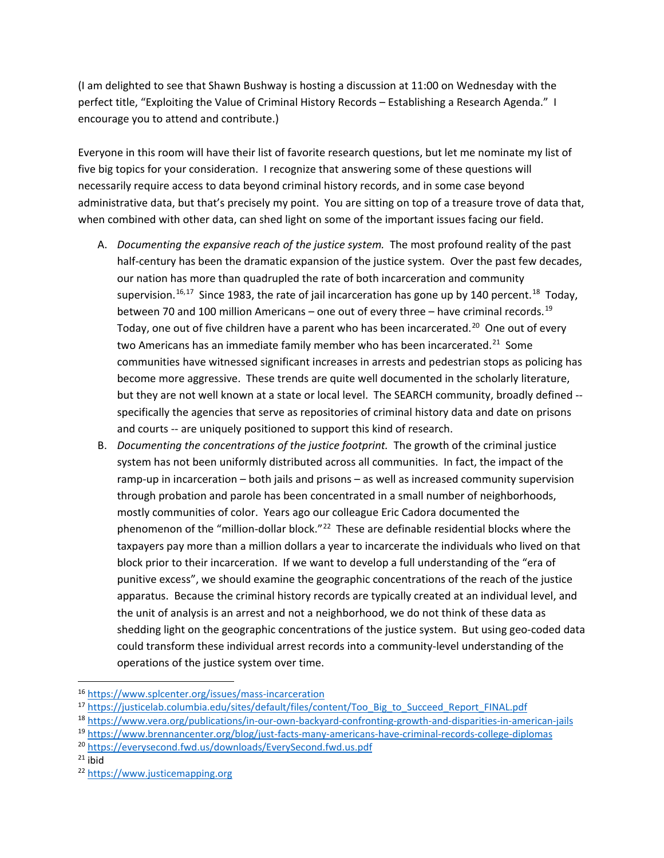(I am delighted to see that Shawn Bushway is hosting a discussion at 11:00 on Wednesday with the perfect title, "Exploiting the Value of Criminal History Records – Establishing a Research Agenda." I encourage you to attend and contribute.)

Everyone in this room will have their list of favorite research questions, but let me nominate my list of five big topics for your consideration. I recognize that answering some of these questions will necessarily require access to data beyond criminal history records, and in some case beyond administrative data, but that's precisely my point. You are sitting on top of a treasure trove of data that, when combined with other data, can shed light on some of the important issues facing our field.

- A. *Documenting the expansive reach of the justice system.* The most profound reality of the past half-century has been the dramatic expansion of the justice system. Over the past few decades, our nation has more than quadrupled the rate of both incarceration and community supervision.<sup>[16](#page-5-0),[17](#page-5-1)</sup> Since 1983, the rate of jail incarceration has gone up by 140 percent.<sup>[18](#page-5-2)</sup> Today, between 70 and 100 million Americans – one out of every three – have criminal records.<sup>19</sup> Today, one out of five children have a parent who has been incarcerated.<sup>[20](#page-5-4)</sup> One out of every two Americans has an immediate family member who has been incarcerated.<sup>[21](#page-5-5)</sup> Some communities have witnessed significant increases in arrests and pedestrian stops as policing has become more aggressive. These trends are quite well documented in the scholarly literature, but they are not well known at a state or local level. The SEARCH community, broadly defined - specifically the agencies that serve as repositories of criminal history data and date on prisons and courts -- are uniquely positioned to support this kind of research.
- B. *Documenting the concentrations of the justice footprint.* The growth of the criminal justice system has not been uniformly distributed across all communities. In fact, the impact of the ramp-up in incarceration – both jails and prisons – as well as increased community supervision through probation and parole has been concentrated in a small number of neighborhoods, mostly communities of color. Years ago our colleague Eric Cadora documented the phenomenon of the "million-dollar block."<sup>[22](#page-5-6)</sup> These are definable residential blocks where the taxpayers pay more than a million dollars a year to incarcerate the individuals who lived on that block prior to their incarceration. If we want to develop a full understanding of the "era of punitive excess", we should examine the geographic concentrations of the reach of the justice apparatus. Because the criminal history records are typically created at an individual level, and the unit of analysis is an arrest and not a neighborhood, we do not think of these data as shedding light on the geographic concentrations of the justice system. But using geo-coded data could transform these individual arrest records into a community-level understanding of the operations of the justice system over time.

<span id="page-5-5"></span> $21$  [ibid](https://everysecond.fwd.us/)

<span id="page-5-0"></span> <sup>16</sup> <https://www.splcenter.org/issues/mass-incarceration>

<span id="page-5-1"></span><sup>&</sup>lt;sup>17</sup> [https://justicelab.columbia.edu/sites/default/files/content/Too\\_Big\\_to\\_Succeed\\_Report\\_FINAL.pdf](https://justicelab.columbia.edu/sites/default/files/content/Too_Big_to_Succeed_Report_FINAL.pdf)

<span id="page-5-2"></span><sup>18</sup> <https://www.vera.org/publications/in-our-own-backyard-confronting-growth-and-disparities-in-american-jails>

<span id="page-5-3"></span><sup>19</sup> <https://www.brennancenter.org/blog/just-facts-many-americans-have-criminal-records-college-diplomas>

<span id="page-5-4"></span><sup>20</sup> <https://everysecond.fwd.us/downloads/EverySecond.fwd.us.pdf>

<span id="page-5-6"></span><sup>22</sup> [https://www.justicemapping.org](https://www.justicemapping.org/)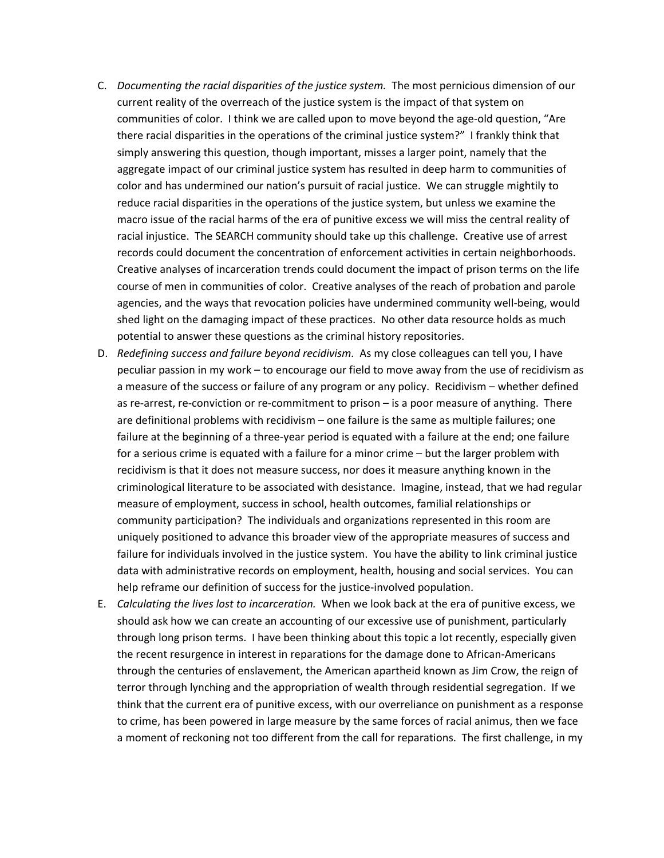- C. *Documenting the racial disparities of the justice system.* The most pernicious dimension of our current reality of the overreach of the justice system is the impact of that system on communities of color. I think we are called upon to move beyond the age-old question, "Are there racial disparities in the operations of the criminal justice system?" I frankly think that simply answering this question, though important, misses a larger point, namely that the aggregate impact of our criminal justice system has resulted in deep harm to communities of color and has undermined our nation's pursuit of racial justice. We can struggle mightily to reduce racial disparities in the operations of the justice system, but unless we examine the macro issue of the racial harms of the era of punitive excess we will miss the central reality of racial injustice. The SEARCH community should take up this challenge. Creative use of arrest records could document the concentration of enforcement activities in certain neighborhoods. Creative analyses of incarceration trends could document the impact of prison terms on the life course of men in communities of color. Creative analyses of the reach of probation and parole agencies, and the ways that revocation policies have undermined community well-being, would shed light on the damaging impact of these practices. No other data resource holds as much potential to answer these questions as the criminal history repositories.
- D. *Redefining success and failure beyond recidivism.* As my close colleagues can tell you, I have peculiar passion in my work – to encourage our field to move away from the use of recidivism as a measure of the success or failure of any program or any policy. Recidivism – whether defined as re-arrest, re-conviction or re-commitment to prison – is a poor measure of anything. There are definitional problems with recidivism – one failure is the same as multiple failures; one failure at the beginning of a three-year period is equated with a failure at the end; one failure for a serious crime is equated with a failure for a minor crime – but the larger problem with recidivism is that it does not measure success, nor does it measure anything known in the criminological literature to be associated with desistance. Imagine, instead, that we had regular measure of employment, success in school, health outcomes, familial relationships or community participation? The individuals and organizations represented in this room are uniquely positioned to advance this broader view of the appropriate measures of success and failure for individuals involved in the justice system. You have the ability to link criminal justice data with administrative records on employment, health, housing and social services. You can help reframe our definition of success for the justice-involved population.
- E. *Calculating the lives lost to incarceration.* When we look back at the era of punitive excess, we should ask how we can create an accounting of our excessive use of punishment, particularly through long prison terms. I have been thinking about this topic a lot recently, especially given the recent resurgence in interest in reparations for the damage done to African-Americans through the centuries of enslavement, the American apartheid known as Jim Crow, the reign of terror through lynching and the appropriation of wealth through residential segregation. If we think that the current era of punitive excess, with our overreliance on punishment as a response to crime, has been powered in large measure by the same forces of racial animus, then we face a moment of reckoning not too different from the call for reparations. The first challenge, in my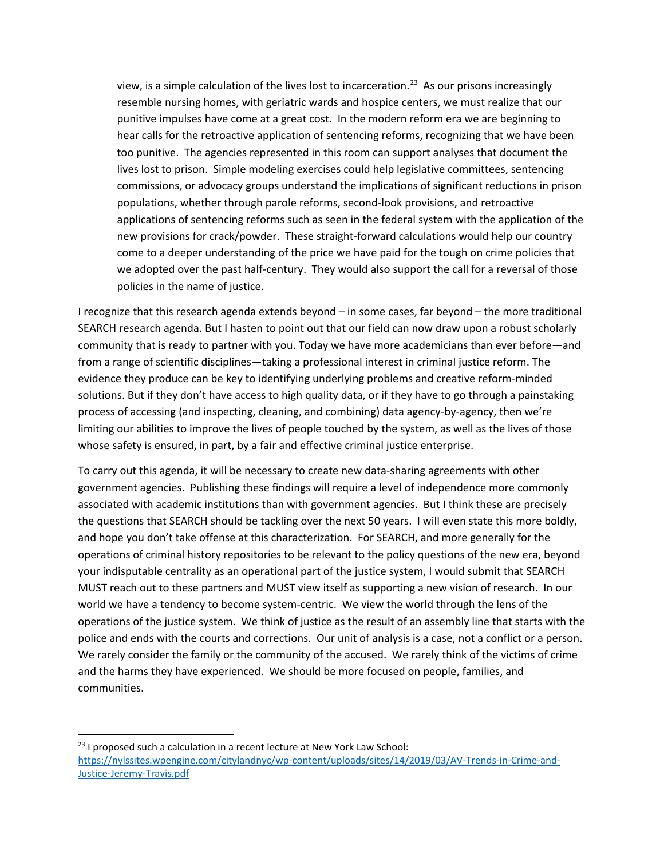view, is a simple calculation of the lives lost to incarceration.<sup>[23](#page-7-0)</sup> As our prisons increasingly resemble nursing homes, with geriatric wards and hospice centers, we must realize that our punitive impulses have come at a great cost. In the modern reform era we are beginning to hear calls for the retroactive application of sentencing reforms, recognizing that we have been too punitive. The agencies represented in this room can support analyses that document the lives lost to prison. Simple modeling exercises could help legislative committees, sentencing commissions, or advocacy groups understand the implications of significant reductions in prison populations, whether through parole reforms, second-look provisions, and retroactive applications of sentencing reforms such as seen in the federal system with the application of the new provisions for crack/powder. These straight-forward calculations would help our country come to a deeper understanding of the price we have paid for the tough on crime policies that we adopted over the past half-century. They would also support the call for a reversal of those policies in the name of justice.

I recognize that this research agenda extends beyond – in some cases, far beyond – the more traditional SEARCH research agenda. But I hasten to point out that our field can now draw upon a robust scholarly community that is ready to partner with you. Today we have more academicians than ever before—and from a range of scientific disciplines—taking a professional interest in criminal justice reform. The evidence they produce can be key to identifying underlying problems and creative reform-minded solutions. But if they don't have access to high quality data, or if they have to go through a painstaking process of accessing (and inspecting, cleaning, and combining) data agency-by-agency, then we're limiting our abilities to improve the lives of people touched by the system, as well as the lives of those whose safety is ensured, in part, by a fair and effective criminal justice enterprise.

To carry out this agenda, it will be necessary to create new data-sharing agreements with other government agencies. Publishing these findings will require a level of independence more commonly associated with academic institutions than with government agencies. But I think these are precisely the questions that SEARCH should be tackling over the next 50 years. I will even state this more boldly, and hope you don't take offense at this characterization. For SEARCH, and more generally for the operations of criminal history repositories to be relevant to the policy questions of the new era, beyond your indisputable centrality as an operational part of the justice system, I would submit that SEARCH MUST reach out to these partners and MUST view itself as supporting a new vision of research. In our world we have a tendency to become system-centric. We view the world through the lens of the operations of the justice system. We think of justice as the result of an assembly line that starts with the police and ends with the courts and corrections. Our unit of analysis is a case, not a conflict or a person. We rarely consider the family or the community of the accused. We rarely think of the victims of crime and the harms they have experienced. We should be more focused on people, families, and communities.

<span id="page-7-0"></span> $23$  I proposed such a calculation in a recent lecture at New York Law School: [https://nylssites.wpengine.com/citylandnyc/wp-content/uploads/sites/14/2019/03/AV-Trends-in-Crime-and-](https://nylssites.wpengine.com/citylandnyc/wp-content/uploads/sites/14/2019/03/AV-Trends-in-Crime-and-Justice-Jeremy-Travis.pdf)[Justice-Jeremy-Travis.pdf](https://nylssites.wpengine.com/citylandnyc/wp-content/uploads/sites/14/2019/03/AV-Trends-in-Crime-and-Justice-Jeremy-Travis.pdf)